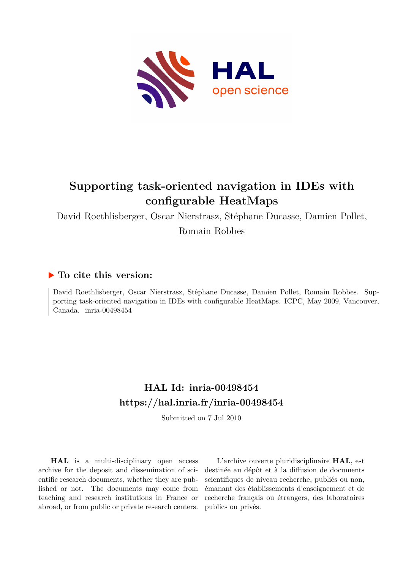

# **Supporting task-oriented navigation in IDEs with configurable HeatMaps**

David Roethlisberger, Oscar Nierstrasz, Stéphane Ducasse, Damien Pollet,

Romain Robbes

### **To cite this version:**

David Roethlisberger, Oscar Nierstrasz, Stéphane Ducasse, Damien Pollet, Romain Robbes. Supporting task-oriented navigation in IDEs with configurable HeatMaps. ICPC, May 2009, Vancouver, Canada. inria-00498454

## **HAL Id: inria-00498454 <https://hal.inria.fr/inria-00498454>**

Submitted on 7 Jul 2010

**HAL** is a multi-disciplinary open access archive for the deposit and dissemination of scientific research documents, whether they are published or not. The documents may come from teaching and research institutions in France or abroad, or from public or private research centers.

L'archive ouverte pluridisciplinaire **HAL**, est destinée au dépôt et à la diffusion de documents scientifiques de niveau recherche, publiés ou non, émanant des établissements d'enseignement et de recherche français ou étrangers, des laboratoires publics ou privés.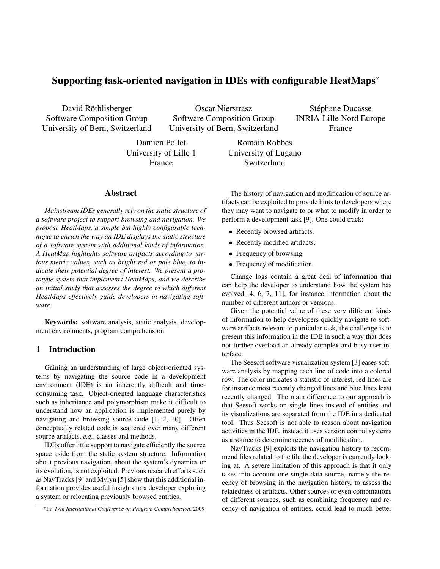### Supporting task-oriented navigation in IDEs with configurable HeatMaps<sup>∗</sup>

David Röthlisberger Software Composition Group University of Bern, Switzerland

Oscar Nierstrasz Software Composition Group University of Bern, Switzerland

Stéphane Ducasse INRIA-Lille Nord Europe France

Damien Pollet University of Lille 1 France

Romain Robbes University of Lugano Switzerland

#### Abstract

*Mainstream IDEs generally rely on the static structure of a software project to support browsing and navigation. We propose HeatMaps, a simple but highly configurable technique to enrich the way an IDE displays the static structure of a software system with additional kinds of information. A HeatMap highlights software artifacts according to various metric values, such as bright red or pale blue, to indicate their potential degree of interest. We present a prototype system that implements HeatMaps, and we describe an initial study that assesses the degree to which different HeatMaps effectively guide developers in navigating software.*

Keywords: software analysis, static analysis, development environments, program comprehension

#### 1 Introduction

Gaining an understanding of large object-oriented systems by navigating the source code in a development environment (IDE) is an inherently difficult and timeconsuming task. Object-oriented language characteristics such as inheritance and polymorphism make it difficult to understand how an application is implemented purely by navigating and browsing source code [\[1,](#page-5-0) [2,](#page-5-1) [10\]](#page-5-2). Often conceptually related code is scattered over many different source artifacts, *e.g.*, classes and methods.

IDEs offer little support to navigate efficiently the source space aside from the static system structure. Information about previous navigation, about the system's dynamics or its evolution, is not exploited. Previous research efforts such as NavTracks [\[9\]](#page-5-3) and Mylyn [\[5\]](#page-5-4) show that this additional information provides useful insights to a developer exploring a system or relocating previously browsed entities.

The history of navigation and modification of source artifacts can be exploited to provide hints to developers where they may want to navigate to or what to modify in order to perform a development task [\[9\]](#page-5-3). One could track:

- Recently browsed artifacts.
- Recently modified artifacts.
- Frequency of browsing.
- Frequency of modification.

Change logs contain a great deal of information that can help the developer to understand how the system has evolved [\[4,](#page-5-5) [6,](#page-5-6) [7,](#page-5-7) [11\]](#page-5-8), for instance information about the number of different authors or versions.

Given the potential value of these very different kinds of information to help developers quickly navigate to software artifacts relevant to particular task, the challenge is to present this information in the IDE in such a way that does not further overload an already complex and busy user interface.

The Seesoft software visualization system [\[3\]](#page-5-9) eases software analysis by mapping each line of code into a colored row. The color indicates a statistic of interest, red lines are for instance most recently changed lines and blue lines least recently changed. The main difference to our approach is that Seesoft works on single lines instead of entities and its visualizations are separated from the IDE in a dedicated tool. Thus Seesoft is not able to reason about navigation activities in the IDE, instead it uses version control systems as a source to determine recency of modification.

NavTracks [\[9\]](#page-5-3) exploits the navigation history to recommend files related to the file the developer is currently looking at. A severe limitation of this approach is that it only takes into account one single data source, namely the recency of browsing in the navigation history, to assess the relatedness of artifacts. Other sources or even combinations of different sources, such as combining frequency and recency of navigation of entities, could lead to much better

<sup>∗</sup>In: *17th International Conference on Program Comprehension*, 2009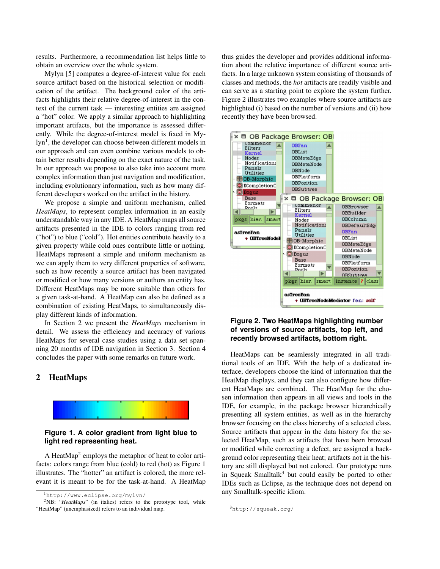results. Furthermore, a recommendation list helps little to obtain an overview over the whole system.

Mylyn [\[5\]](#page-5-4) computes a degree-of-interest value for each source artifact based on the historical selection or modification of the artifact. The background color of the artifacts highlights their relative degree-of-interest in the context of the current task — interesting entities are assigned a "hot" color. We apply a similar approach to highlighting important artifacts, but the importance is assessed differently. While the degree-of-interest model is fixed in My-lyn<sup>[1](#page-2-0)</sup>, the developer can choose between different models in our approach and can even combine various models to obtain better results depending on the exact nature of the task. In our approach we propose to also take into account more complex information than just navigation and modification, including evolutionary information, such as how many different developers worked on the artifact in the history.

We propose a simple and uniform mechanism, called *HeatMaps*, to represent complex information in an easily understandable way in any IDE. A HeatMap maps all source artifacts presented in the IDE to colors ranging from red ("hot") to blue ("cold"). Hot entities contribute heavily to a given property while cold ones contribute little or nothing. HeatMaps represent a simple and uniform mechanism as we can apply them to very different properties of software, such as how recently a source artifact has been navigated or modified or how many versions or authors an entity has. Different HeatMaps may be more suitable than others for a given task-at-hand. A HeatMap can also be defined as a combination of existing HeatMaps, to simultaneously display different kinds of information.

In Section [2](#page-2-1) we present the *HeatMaps* mechanism in detail. We assess the efficiency and accuracy of various HeatMaps for several case studies using a data set spanning 20 months of IDE navigation in Section [3.](#page-3-0) Section [4](#page-5-10) concludes the paper with some remarks on future work.

#### <span id="page-2-1"></span>2 HeatMaps



#### <span id="page-2-3"></span>**Figure 1. A color gradient from light blue to light red representing heat.**

A HeatMap<sup>[2](#page-2-2)</sup> employs the metaphor of heat to color artifacts: colors range from blue (cold) to red (hot) as Figure [1](#page-2-3) illustrates. The "hotter" an artifact is colored, the more relevant it is meant to be for the task-at-hand. A HeatMap thus guides the developer and provides additional information about the relative importance of different source artifacts. In a large unknown system consisting of thousands of classes and methods, the *hot* artifacts are readily visible and can serve as a starting point to explore the system further. Figure [2](#page-2-4) illustrates two examples where source artifacts are highlighted (i) based on the number of versions and (ii) how recently they have been browsed.



#### <span id="page-2-4"></span>**Figure 2. Two HeatMaps highlighting number of versions of source artifacts, top left, and recently browsed artifacts, bottom right.**

HeatMaps can be seamlessly integrated in all traditional tools of an IDE. With the help of a dedicated interface, developers choose the kind of information that the HeatMap displays, and they can also configure how different HeatMaps are combined. The HeatMap for the chosen information then appears in all views and tools in the IDE, for example, in the package browser hierarchically presenting all system entities, as well as in the hierarchy browser focusing on the class hierarchy of a selected class. Source artifacts that appear in the data history for the selected HeatMap, such as artifacts that have been browsed or modified while correcting a defect, are assigned a background color representing their heat; artifacts not in the history are still displayed but not colored. Our prototype runs in Squeak Smalltalk<sup>[3](#page-2-5)</sup> but could easily be ported to other IDEs such as Eclipse, as the technique does not depend on any Smalltalk-specific idiom.

<span id="page-2-2"></span><span id="page-2-0"></span><sup>1</sup><http://www.eclipse.org/mylyn/>

<sup>2</sup>NB: "*HeatMaps*" (in italics) refers to the prototype tool, while "HeatMap" (unemphasized) refers to an individual map.

<span id="page-2-5"></span><sup>3</sup><http://squeak.org/>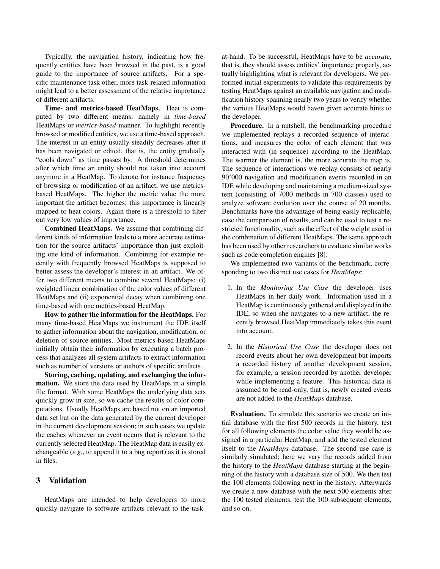Typically, the navigation history, indicating how frequently entities have been browsed in the past, is a good guide to the importance of source artifacts. For a specific maintenance task other, more task-related information might lead to a better assessment of the relative importance of different artifacts.

Time- and metrics-based HeatMaps. Heat is computed by two different means, namely in *time-based* HeatMaps or *metrics-based* manner. To highlight recently browsed or modified entities, we use a time-based approach. The interest in an entity usually steadily decreases after it has been navigated or edited, that is, the entity gradually "cools down" as time passes by. A threshold determines after which time an entity should not taken into account anymore in a HeatMap. To denote for instance frequency of browsing or modification of an artifact, we use metricsbased HeatMaps. The higher the metric value the more important the artifact becomes; this importance is linearly mapped to heat colors. Again there is a threshold to filter out very low values of importance.

Combined HeatMaps. We assume that combining different kinds of information leads to a more accurate estimation for the source artifacts' importance than just exploiting one kind of information. Combining for example recently with frequently browsed HeatMaps is supposed to better assess the developer's interest in an artifact. We offer two different means to combine several HeatMaps: (i) weighted linear combination of the color values of different HeatMaps and (ii) exponential decay when combining one time-based with one metrics-based HeatMap.

How to gather the information for the HeatMaps. For many time-based HeatMaps we instrument the IDE itself to gather information about the navigation, modification, or deletion of source entities. Most metrics-based HeatMaps initially obtain their information by executing a batch process that analyzes all system artifacts to extract information such as number of versions or authors of specific artifacts.

Storing, caching, updating, and exchanging the information. We store the data used by HeatMaps in a simple file format. With some HeatMaps the underlying data sets quickly grow in size, so we cache the results of color computations. Usually HeatMaps are based not on an imported data set but on the data generated by the current developer in the current development session; in such cases we update the caches whenever an event occurs that is relevant to the currently selected HeatMap. The HeatMap data is easily exchangeable (*e.g.*, to append it to a bug report) as it is stored in files.

#### <span id="page-3-0"></span>3 Validation

HeatMaps are intended to help developers to more quickly navigate to software artifacts relevant to the taskat-hand. To be successful, HeatMaps have to be *accurate*, that is, they should assess entities' importance properly, actually highlighting what is relevant for developers. We performed initial experiments to validate this requirements by testing HeatMaps against an available navigation and modification history spanning nearly two years to verify whether the various HeatMaps would haven given accurate hints to the developer.

Procedure. In a nutshell, the benchmarking procedure we implemented replays a recorded sequence of interactions, and measures the color of each element that was interacted with (in sequence) according to the HeatMap. The warmer the element is, the more accurate the map is. The sequence of interactions we replay consists of nearly 90'000 navigation and modification events recorded in an IDE while developing and maintaining a medium-sized system (consisting of 7000 methods in 700 classes) used to analyze software evolution over the course of 20 months. Benchmarks have the advantage of being easily replicable, ease the comparison of results, and can be used to test a restricted functionality, such as the effect of the weight used in the combination of different HeatMaps. The same approach has been used by other researchers to evaluate similar works such as code completion engines [\[8\]](#page-5-11).

We implemented two variants of the benchmark, corresponding to two distinct use cases for *HeatMaps*:

- 1. In the *Monitoring Use Case* the developer uses HeatMaps in her daily work. Information used in a HeatMap is continuously gathered and displayed in the IDE, so when she navigates to a new artifact, the recently browsed HeatMap immediately takes this event into account.
- 2. In the *Historical Use Case* the developer does not record events about her own development but imports a recorded history of another development session, for example, a session recorded by another developer while implementing a feature. This historical data is assumed to be read-only, that is, newly created events are not added to the *HeatMaps* database.

Evaluation. To simulate this scenario we create an initial database with the first 500 records in the history, test for all following elements the color value they would be assigned in a particular HeatMap, and add the tested element itself to the *HeatMaps* database. The second use case is similarly simulated; here we vary the records added from the history to the *HeatMaps* database starting at the beginning of the history with a database size of 500. We then test the 100 elements following next in the history. Afterwards we create a new database with the next 500 elements after the 100 tested elements, test the 100 subsequent elements, and so on.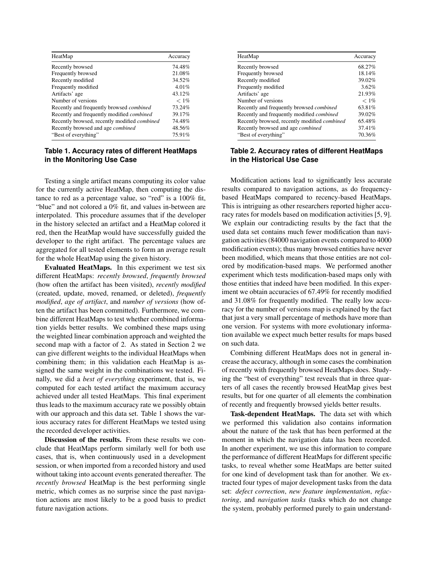| HeatMap                                             | Accuracy |
|-----------------------------------------------------|----------|
| Recently browsed                                    | 74.48%   |
| Frequently browsed                                  | 21.08%   |
| Recently modified                                   | 34.52%   |
| Frequently modified                                 | 4.01%    |
| Artifacts' age                                      | 43.12%   |
| Number of versions                                  | $< 1\%$  |
| Recently and frequently browsed <i>combined</i>     | 73.24%   |
| Recently and frequently modified <i>combined</i>    | 39.17%   |
| Recently browsed, recently modified <i>combined</i> | 74.48%   |
| Recently browsed and age <i>combined</i>            | 48.56%   |
| "Best of everything"                                | 75.91%   |

#### <span id="page-4-0"></span>**Table 1. Accuracy rates of different HeatMaps in the Monitoring Use Case**

Testing a single artifact means computing its color value for the currently active HeatMap, then computing the distance to red as a percentage value, so "red" is a 100% fit, "blue" and not colored a 0% fit, and values in-between are interpolated. This procedure assumes that if the developer in the history selected an artifact and a HeatMap colored it red, then the HeatMap would have successfully guided the developer to the right artifact. The percentage values are aggregated for all tested elements to form an average result for the whole HeatMap using the given history.

Evaluated HeatMaps. In this experiment we test six different HeatMaps: *recently browsed*, *frequently browsed* (how often the artifact has been visited), *recently modified* (created, update, moved, renamed, or deleted), *frequently modified*, *age of artifact*, and *number of versions* (how often the artifact has been committed). Furthermore, we combine different HeatMaps to test whether combined information yields better results. We combined these maps using the weighted linear combination approach and weighted the second map with a factor of 2. As stated in Section [2](#page-2-1) we can give different weights to the individual HeatMaps when combining them; in this validation each HeatMap is assigned the same weight in the combinations we tested. Finally, we did a *best of everything* experiment, that is, we computed for each tested artifact the maximum accuracy achieved under all tested HeatMaps. This final experiment thus leads to the maximum accuracy rate we possibly obtain with our approach and this data set. Table [1](#page-4-0) shows the various accuracy rates for different HeatMaps we tested using the recorded developer activities.

Discussion of the results. From these results we conclude that HeatMaps perform similarly well for both use cases, that is, when continuously used in a development session, or when imported from a recorded history and used without taking into account events generated thereafter. The *recently browsed* HeatMap is the best performing single metric, which comes as no surprise since the past navigation actions are most likely to be a good basis to predict future navigation actions.

| HeatMap                                             | Accuracy |
|-----------------------------------------------------|----------|
| Recently browsed                                    | 68.27%   |
| Frequently browsed                                  | 18.14%   |
| Recently modified                                   | 39.02%   |
| Frequently modified                                 | 3.62%    |
| Artifacts' age                                      | 21.93%   |
| Number of versions                                  | $< 1\%$  |
| Recently and frequently browsed <i>combined</i>     | 63.81%   |
| Recently and frequently modified <i>combined</i>    | 39.02%   |
| Recently browsed, recently modified <i>combined</i> | 65.48%   |
| Recently browsed and age <i>combined</i>            | 37.41%   |
| "Best of everything"                                | 70.36%   |

#### **Table 2. Accuracy rates of different HeatMaps in the Historical Use Case**

Modification actions lead to significantly less accurate results compared to navigation actions, as do frequencybased HeatMaps compared to recency-based HeatMaps. This is intriguing as other researchers reported higher accuracy rates for models based on modification activities [\[5,](#page-5-4) [9\]](#page-5-3). We explain our contradicting results by the fact that the used data set contains much fewer modification than navigation activities (84000 navigation events compared to 4000 modification events); thus many browsed entities have never been modified, which means that those entities are not colored by modification-based maps. We performed another experiment which tests modification-based maps only with those entities that indeed have been modified. In this experiment we obtain accuracies of 67.49% for recently modified and 31.08% for frequently modified. The really low accuracy for the number of versions map is explained by the fact that just a very small percentage of methods have more than one version. For systems with more evolutionary information available we expect much better results for maps based on such data.

Combining different HeatMaps does not in general increase the accuracy, although in some cases the combination of recently with frequently browsed HeatMaps does. Studying the "best of everything" test reveals that in three quarters of all cases the recently browsed HeatMap gives best results, but for one quarter of all elements the combination of recently and frequently browsed yields better results.

Task-dependent HeatMaps. The data set with which we performed this validation also contains information about the nature of the task that has been performed at the moment in which the navigation data has been recorded. In another experiment, we use this information to compare the performance of different HeatMaps for different specific tasks, to reveal whether some HeatMaps are better suited for one kind of development task than for another. We extracted four types of major development tasks from the data set: *defect correction*, *new feature implementation*, *refactoring*, and *navigation tasks* (tasks which do not change the system, probably performed purely to gain understand